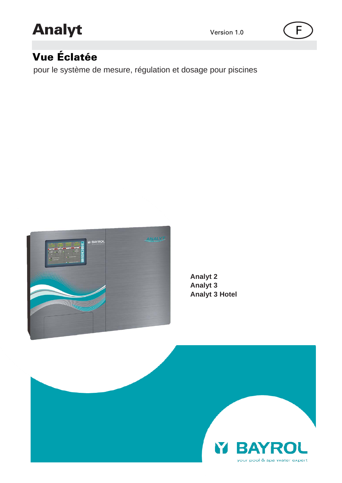# Analyt Version 1.0 (F



# Vue Éclatée

pour le système de mesure, régulation et dosage pour piscines



**Analyt 2 Analyt 3 Analyt 3 Hotel**

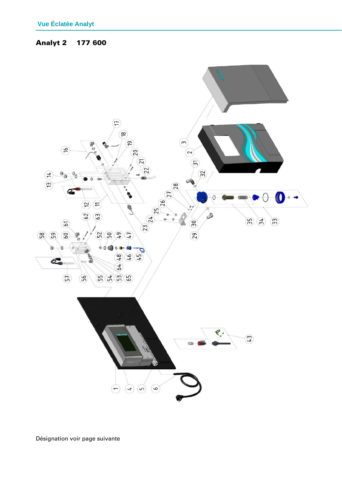# Analyt 2 177 600

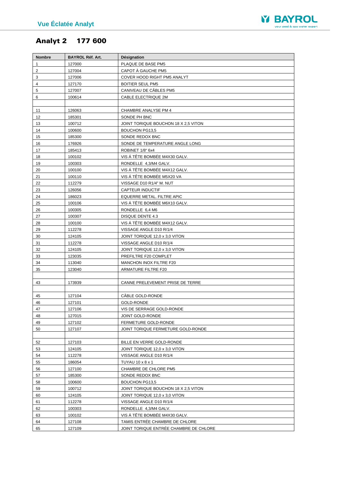

# Analyt 2 177 600

| Nombre       | <b>BAYROL Réf. Art.</b> | <b>Désignation</b>                     |
|--------------|-------------------------|----------------------------------------|
| $\mathbf{1}$ | 127000                  | PLAQUE DE BASE PM5                     |
| 2            | 127004                  | CAPOT A GAUCHE PM5                     |
| 3            | 127006                  | COVER HOOD RIGHT PM5 ANALYT            |
| 4            | 127170                  | <b>BOITIER SEUL PM5</b>                |
| 5            | 127007                  | CANIVEAU DE CÂBLES PM5                 |
| 6            | 100614                  | CABLE ELECTRIQUE 2M                    |
|              |                         |                                        |
| 11           | 126063                  | CHAMBRE ANALYSE PM 4                   |
| 12           | 185301                  | SONDE PH BNC                           |
| 13           | 100712                  | JOINT TORIQUE BOUCHON 18 X 2,5 VITON   |
| 14           | 100600                  | <b>BOUCHON PG13,5</b>                  |
| 15           | 185300                  | SONDE REDOX BNC                        |
| 16           | 176926                  | SONDE DE TEMPERATURE ANGLE LONG        |
| 17           | 185413                  | ROBINET 1/8" 6x4                       |
| 18           | 100102                  | VIS À TÊTE BOMBÉE M4X30 GALV.          |
| 19           | 100303                  | RONDELLE 4,3/M4 GALV.                  |
| 20           | 100100                  | VIS Á TÊTE BOMBÉE M4X12 GALV.          |
| 21           | 100110                  | VIS À TÊTE BOMBÉE M5X20 VA             |
| 22           | 112279                  | VISSAGE D10 R1/4" M. NUT               |
| 23           | 126056                  | <b>CAPTEUR INDUCTIF</b>                |
| 24           | 186023                  | EQUERRE METAL. FILTRE APIC             |
| 25           | 100106                  | VIS Á TÊTE BOMBÉE M6X10 GALV.          |
| 26           | 100305                  | RONDELLE 6,4 M6                        |
| 27           | 100307                  | DISQUE DENTE 4.3                       |
| 28           | 100100                  | VIS Á TÊTE BOMBÉE M4X12 GALV.          |
| 29           | 112278                  | VISSAGE ANGLE D10 R/1/4                |
| 30           | 124105                  | JOINT TORIQUE 12,0 x 3,0 VITON         |
| 31           | 112278                  | VISSAGE ANGLE D10 R/1/4                |
| 32           | 124105                  | JOINT TORIQUE 12,0 x 3,0 VITON         |
| 33           | 123035                  | PREFILTRE F20 COMPLET                  |
| 34           | 113040                  | MANCHON INOX FILTRE F20                |
| 35           | 123040                  | ARMATURE FILTRE F20                    |
|              |                         |                                        |
| 43           | 173939                  | CANNE PRELEVEMENT PRISE DE TERRE       |
|              |                         |                                        |
| 45<br>46     | 127104                  | CÂBLE GOLD-RONDE<br>GOLD-RONDE         |
| 47           | 127101<br>127106        | VIS DE SERRAGE GOLD-RONDE              |
| 48           | 127015                  | JOINT GOLD-RONDE                       |
| 49           | 127102                  | FERMETURE GOLD-RONDE                   |
| 50           | 127107                  | JOINT TORIQUE FERMETURE GOLD-RONDE     |
|              |                         |                                        |
| 52           | 127103                  | BILLE EN VERRE GOLD-RONDE              |
| 53           | 124105                  | JOINT TORIQUE 12,0 x 3,0 VITON         |
| 54           | 112278                  | VISSAGE ANGLE D10 R/1/4                |
| 55           | 186054                  | TUYAU 10 x 8 x 1                       |
| 56           | 127100                  | CHAMBRE DE CHLORE PM5                  |
| 57           | 185300                  | SONDE REDOX BNC                        |
| 58           | 100600                  | BOUCHON PG13,5                         |
| 59           | 100712                  | JOINT TORIQUE BOUCHON 18 X 2,5 VITON   |
| 60           | 124105                  | JOINT TORIQUE 12,0 x 3,0 VITON         |
| 61           | 112278                  | VISSAGE ANGLE D10 R/1/4                |
| 62           | 100303                  | RONDELLE 4,3/M4 GALV.                  |
| 63           | 100102                  | VIS À TÊTE BOMBÉE M4X30 GALV.          |
| 64           | 127108                  | TAMIS ENTRÉE CHAMBRE DE CHLORE         |
| 65           | 127109                  | JOINT TORIQUE ENTRÉE CHAMBRE DE CHLORE |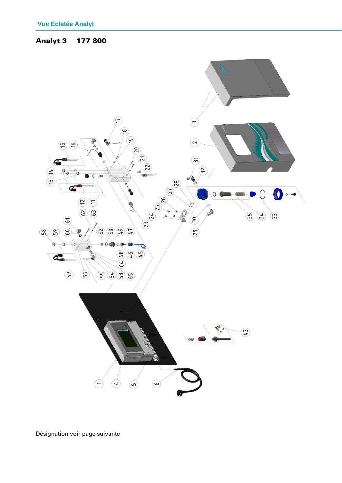#### Analyt 3 177 800



Désignation voir page suivante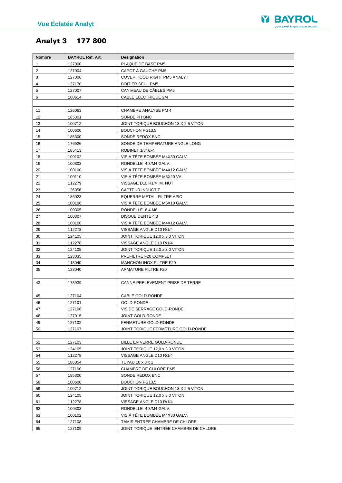

# Analyt 3 177 800

| <b>Nombre</b>  | <b>BAYROL Réf. Art.</b> | Désignation                            |
|----------------|-------------------------|----------------------------------------|
| 1              | 127000                  | PLAQUE DE BASE PM5                     |
| $\overline{2}$ | 127004                  | CAPOT À GAUCHE PM5                     |
| 3              | 127006                  | COVER HOOD RIGHT PM5 ANALYT            |
| 4              | 127170                  | <b>BOITIER SEUL PM5</b>                |
| 5              | 127007                  | CANIVEAU DE CÂBLES PM5                 |
| 6              | 100614                  | CABLE ELECTRIQUE 2M                    |
|                |                         |                                        |
| 11             | 126063                  | CHAMBRE ANALYSE PM 4                   |
| 12             | 185301                  | SONDE PH BNC                           |
| 13             | 100712                  | JOINT TORIQUE BOUCHON 18 X 2,5 VITON   |
| 14             | 100600                  | BOUCHON PG13,5                         |
| 15             | 185300                  | SONDE REDOX BNC                        |
| 16             | 176926                  | SONDE DE TEMPERATURE ANGLE LONG        |
| 17             | 185413                  | ROBINET 1/8" 6x4                       |
| 18             | 100102                  | VIS À TÊTE BOMBÉE M4X30 GALV.          |
| 19             | 100303                  | RONDELLE 4,3/M4 GALV.                  |
| 20             | 100100                  | VIS À TÊTE BOMBÉE M4X12 GALV.          |
| 21             | 100110                  | VIS Á TÊTE BOMBÉE M5X20 VA             |
| 22             | 112279                  | VISSAGE D10 R1/4" M. NUT               |
| 23             | 126056                  | <b>CAPTEUR INDUCTIF</b>                |
| 24             | 186023                  | EQUERRE METAL. FILTRE APIC             |
| 25             | 100106                  | VIS Á TÊTE BOMBÉE M6X10 GALV.          |
| 26             | 100305                  | RONDELLE 6,4 M6                        |
| 27             | 100307                  | <b>DISQUE DENTE 4.3</b>                |
| 28             | 100100                  | VIS À TÊTE BOMBÉE M4X12 GALV.          |
| 29             | 112278                  | VISSAGE ANGLE D10 R/1/4                |
| 30             | 124105                  | JOINT TORIQUE 12,0 x 3,0 VITON         |
| 31             | 112278                  | VISSAGE ANGLE D10 R/1/4                |
| 32             | 124105                  | JOINT TORIQUE 12,0 x 3,0 VITON         |
| 33             | 123035                  | PREFILTRE F20 COMPLET                  |
| 34             | 113040                  | MANCHON INOX FILTRE F20                |
| 35             | 123040                  | ARMATURE FILTRE F20                    |
|                | 173939                  | CANNE PRELEVEMENT PRISE DE TERRE       |
| 43             |                         |                                        |
| 45             | 127104                  | CÂBLE GOLD-RONDE                       |
| 46             | 127101                  | <b>GOLD-RONDE</b>                      |
| 47             | 127106                  | VIS DE SERRAGE GOLD-RONDE              |
| 48             | 127015                  | JOINT GOLD-RONDE                       |
| 49             | 127102                  | FERMETURE GOLD-RONDE                   |
| 50             | 127107                  | JOINT TORIQUE FERMETURE GOLD-RONDE     |
|                |                         |                                        |
| 52             | 127103                  | BILLE EN VERRE GOLD-RONDE              |
| 53             | 124105                  | JOINT TORIQUE 12,0 x 3,0 VITON         |
| 54             | 112278                  | VISSAGE ANGLE D10 R/1/4                |
| 55             | 186054                  | TUYAU 10 x 8 x 1                       |
| 56             | 127100                  | CHAMBRE DE CHLORE PM5                  |
| 57             | 185300                  | SONDE REDOX BNC                        |
| 58             | 100600                  | BOUCHON PG13,5                         |
| 59             | 100712                  | JOINT TORIQUE BOUCHON 18 X 2,5 VITON   |
| 60             | 124105                  | JOINT TORIQUE 12,0 x 3,0 VITON         |
| 61             | 112278                  | VISSAGE ANGLE D10 R/1/4                |
| 62             | 100303                  | RONDELLE 4,3/M4 GALV.                  |
| 63             | 100102                  | VIS À TÊTE BOMBÉE M4X30 GALV.          |
| 64             | 127108                  | TAMIS ENTREE CHAMBRE DE CHLORE         |
| 65             | 127109                  | JOINT TORIQUE ENTRÉE CHAMBRE DE CHLORE |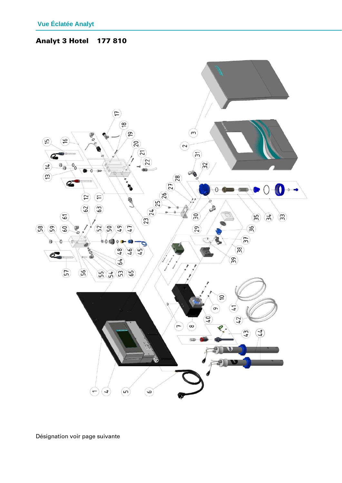**Analyt 3 Hotel** 177810

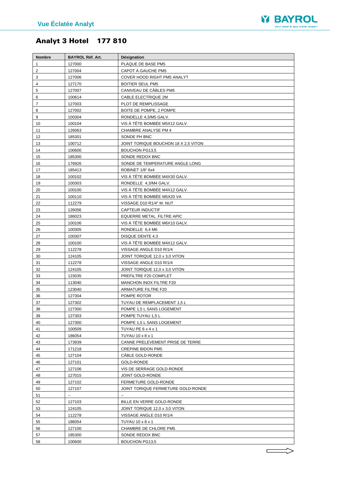

# Analyt 3 Hotel 177 810

| Nombre   | BAYROL Réf. Art. | Désignation                               |
|----------|------------------|-------------------------------------------|
| 1        | 127000           | PLAQUE DE BASE PM5                        |
| 2        | 127004           | CAPOT À GAUCHE PM5                        |
| 3        | 127006           | COVER HOOD RIGHT PM5 ANALYT               |
| 4        | 127170           | <b>BOITIER SEUL PM5</b>                   |
| 5        | 127007           | CANIVEAU DE CÂBLES PM5                    |
| 6        | 100614           | CABLE ELECTRIQUE 2M                       |
| 7        | 127003           | PLOT DE REMPLISSAGE                       |
| 8        | 127002           | BOITE DE POMPE, 2 POMPE                   |
| 9        | 100304           | RONDELLE 4,3/M5 GALV.                     |
| 10       | 100104           | VIS Á TÊTE BOMBÉE M5X12 GALV.             |
| 11       | 126063           | CHAMBRE ANALYSE PM 4                      |
| 12       | 185301           | SONDE PH BNC                              |
| 13       | 100712           | JOINT TORIQUE BOUCHON 18 X 2,5 VITON      |
| 14       | 100600           | BOUCHON PG13,5                            |
| 15       | 185300           | SONDE REDOX BNC                           |
| 16       | 176926           | SONDE DE TEMPERATURE ANGLE LONG           |
| 17       | 185413           | ROBINET 1/8" 6x4                          |
| 18       | 100102           | VIS À TÊTE BOMBÉE M4X30 GALV.             |
| 19       | 100303           | RONDELLE 4,3/M4 GALV.                     |
| 20       | 100100           | VIS A TÊTE BOMBÉE M4X12 GALV.             |
| 21       | 100110           | VIS Á TÊTE BOMBÉE M5X20 VA                |
| 22       | 112279           | VISSAGE D10 R1/4" M. NUT                  |
| 23       | 126056           | CAPTEUR INDUCTIF                          |
| 24       | 186023           | EQUERRE METAL. FILTRE APIC                |
| 25       | 100106           | VIS A TÊTE BOMBÉE M6X10 GALV.             |
| 26       | 100305           | RONDELLE 6,4 M6                           |
| 27       | 100307           | DISQUE DENTE 4.3                          |
| 28       | 100100           | VIS À TÊTE BOMBÉE M4X12 GALV.             |
| 29       | 112278           | VISSAGE ANGLE D10 R/1/4                   |
| 30       | 124105           | JOINT TORIQUE 12,0 x 3,0 VITON            |
| 31       | 112278           | VISSAGE ANGLE D10 R/1/4                   |
| 32       | 124105           | JOINT TORIQUE 12,0 x 3,0 VITON            |
| 33       | 123035           | PREFILTRE F20 COMPLET                     |
| 34       | 113040           | MANCHON INOX FILTRE F20                   |
| 35       | 123040           | <b>ARMATURE FILTRE F20</b>                |
| 36       | 127304           | POMPE ROTOR                               |
| 37       | 127302           | TUYAU DE REMPLACEMENT 1,5 L               |
| 38       | 127300           | POMPE 1,5 L SANS LOGEMENT                 |
| 39       | 127303           | POMPE TUYAU 1,5 L                         |
| 40       | 127300           | POMPE 1,5 L SANS LOGEMENT                 |
| 41       | 100509           | TUYAU PE 6 x 4 x 1                        |
| 42       | 186054           | TUYAU 10 x 8 x 1                          |
| 43       | 173939           | CANNE PRELEVEMENT PRISE DE TERRE          |
| 44       | 171218           | <b>CREPINE BIDON PM5</b>                  |
| 45       | 127104           | CÂBLE GOLD-RONDE                          |
| 46       | 127101           | GOLD-RONDE                                |
| 47       | 127106           | VIS DE SERRAGE GOLD-RONDE                 |
| 48       | 127015           | JOINT GOLD-RONDE                          |
| 49       | 127102           | FERMETURE GOLD-RONDE                      |
| 50       | 127107           | JOINT TORIQUE FERMETURE GOLD-RONDE        |
| 51       | ۰.               | Ξ.                                        |
| 52       | 127103           | BILLE EN VERRE GOLD-RONDE                 |
| 53       | 124105           | JOINT TORIQUE 12,0 x 3,0 VITON            |
| 54       | 112278           | VISSAGE ANGLE D10 R/1/4                   |
| 55<br>56 | 186054<br>127100 | TUYAU 10 x 8 x 1<br>CHAMBRE DE CHLORE PM5 |
| 57       | 185300           | SONDE REDOX BNC                           |
| 58       | 100600           | BOUCHON PG13,5                            |
|          |                  |                                           |